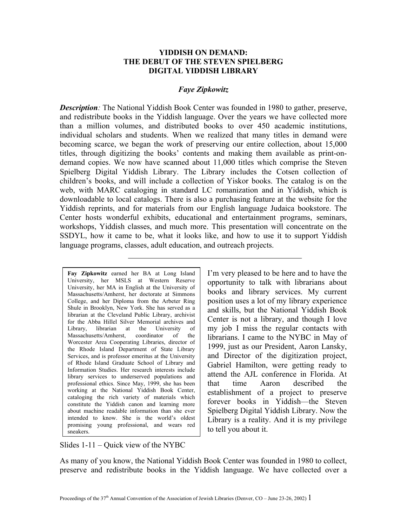## **YIDDISH ON DEMAND: THE DEBUT OF THE STEVEN SPIELBERG DIGITAL YIDDISH LIBRARY**

## *Faye Zipkowitz*

*Description*: The National Yiddish Book Center was founded in 1980 to gather, preserve, and redistribute books in the Yiddish language. Over the years we have collected more than a million volumes, and distributed books to over 450 academic institutions, individual scholars and students. When we realized that many titles in demand were becoming scarce, we began the work of preserving our entire collection, about 15,000 titles, through digitizing the books' contents and making them available as print-ondemand copies. We now have scanned about 11,000 titles which comprise the Steven Spielberg Digital Yiddish Library. The Library includes the Cotsen collection of children's books, and will include a collection of Yiskor books. The catalog is on the web, with MARC cataloging in standard LC romanization and in Yiddish, which is downloadable to local catalogs. There is also a purchasing feature at the website for the Yiddish reprints, and for materials from our English language Judaica bookstore. The Center hosts wonderful exhibits, educational and entertainment programs, seminars, workshops, Yiddish classes, and much more. This presentation will concentrate on the SSDYL, how it came to be, what it looks like, and how to use it to support Yiddish language programs, classes, adult education, and outreach projects.

**Fay Zipkowitz** earned her BA at Long Island University, her MSLS at Western Reserve University, her MA in English at the University of Massachusetts/Amherst, her doctorate at Simmons College, and her Diploma from the Arbeter Ring Shule in Brooklyn, New York. She has served as a librarian at the Cleveland Public Library, archivist for the Abba Hillel Silver Memorial archives and Library, librarian at the University of Massachusetts/Amherst, coordinator of the Worcester Area Cooperating Libraries, director of the Rhode Island Department of State Library Services, and is professor emeritus at the University of Rhode Island Graduate School of Library and Information Studies. Her research interests include library services to underserved populations and professional ethics. Since May, 1999, she has been working at the National Yiddish Book Center, cataloging the rich variety of materials which constitute the Yiddish canon and learning more about machine readable information than she ever intended to know. She is the world's oldest promising young professional, and wears red sneakers.

I'm very pleased to be here and to have the opportunity to talk with librarians about books and library services. My current position uses a lot of my library experience and skills, but the National Yiddish Book Center is not a library, and though I love my job I miss the regular contacts with librarians. I came to the NYBC in May of 1999, just as our President, Aaron Lansky, and Director of the digitization project, Gabriel Hamilton, were getting ready to attend the AJL conference in Florida. At that time Aaron described the establishment of a project to preserve forever books in Yiddish—the Steven Spielberg Digital Yiddish Library. Now the Library is a reality. And it is my privilege to tell you about it.

Slides 1-11 – Quick view of the NYBC

As many of you know, the National Yiddish Book Center was founded in 1980 to collect, preserve and redistribute books in the Yiddish language. We have collected over a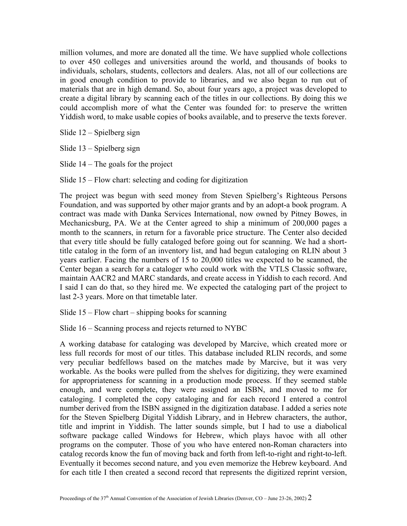million volumes, and more are donated all the time. We have supplied whole collections to over 450 colleges and universities around the world, and thousands of books to individuals, scholars, students, collectors and dealers. Alas, not all of our collections are in good enough condition to provide to libraries, and we also began to run out of materials that are in high demand. So, about four years ago, a project was developed to create a digital library by scanning each of the titles in our collections. By doing this we could accomplish more of what the Center was founded for: to preserve the written Yiddish word, to make usable copies of books available, and to preserve the texts forever.

Slide 12 – Spielberg sign

Slide 13 – Spielberg sign

Slide 14 – The goals for the project

Slide 15 – Flow chart: selecting and coding for digitization

The project was begun with seed money from Steven Spielberg's Righteous Persons Foundation, and was supported by other major grants and by an adopt-a book program. A contract was made with Danka Services International, now owned by Pitney Bowes, in Mechanicsburg, PA. We at the Center agreed to ship a minimum of 200,000 pages a month to the scanners, in return for a favorable price structure. The Center also decided that every title should be fully cataloged before going out for scanning. We had a shorttitle catalog in the form of an inventory list, and had begun cataloging on RLIN about 3 years earlier. Facing the numbers of 15 to 20,000 titles we expected to be scanned, the Center began a search for a cataloger who could work with the VTLS Classic software, maintain AACR2 and MARC standards, and create access in Yiddish to each record. And I said I can do that, so they hired me. We expected the cataloging part of the project to last 2-3 years. More on that timetable later.

Slide  $15 -$  Flow chart – shipping books for scanning

Slide 16 – Scanning process and rejects returned to NYBC

A working database for cataloging was developed by Marcive, which created more or less full records for most of our titles. This database included RLIN records, and some very peculiar bedfellows based on the matches made by Marcive, but it was very workable. As the books were pulled from the shelves for digitizing, they were examined for appropriateness for scanning in a production mode process. If they seemed stable enough, and were complete, they were assigned an ISBN, and moved to me for cataloging. I completed the copy cataloging and for each record I entered a control number derived from the ISBN assigned in the digitization database. I added a series note for the Steven Spielberg Digital Yiddish Library, and in Hebrew characters, the author, title and imprint in Yiddish. The latter sounds simple, but I had to use a diabolical software package called Windows for Hebrew, which plays havoc with all other programs on the computer. Those of you who have entered non-Roman characters into catalog records know the fun of moving back and forth from left-to-right and right-to-left. Eventually it becomes second nature, and you even memorize the Hebrew keyboard. And for each title I then created a second record that represents the digitized reprint version,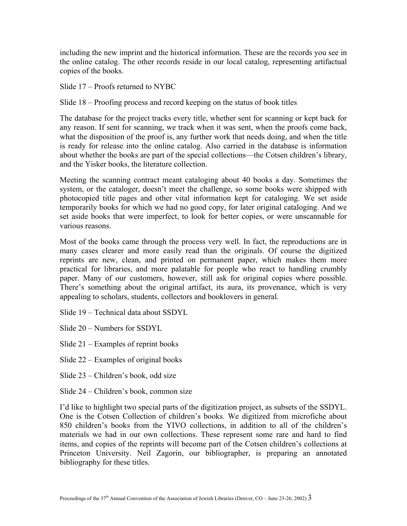including the new imprint and the historical information. These are the records you see in the online catalog. The other records reside in our local catalog, representing artifactual copies of the books.

Slide 17 – Proofs returned to NYBC

Slide 18 – Proofing process and record keeping on the status of book titles

The database for the project tracks every title, whether sent for scanning or kept back for any reason. If sent for scanning, we track when it was sent, when the proofs come back, what the disposition of the proof is, any further work that needs doing, and when the title is ready for release into the online catalog. Also carried in the database is information about whether the books are part of the special collections—the Cotsen children's library, and the Yisker books, the literature collection.

Meeting the scanning contract meant cataloging about 40 books a day. Sometimes the system, or the cataloger, doesn't meet the challenge, so some books were shipped with photocopied title pages and other vital information kept for cataloging. We set aside temporarily books for which we had no good copy, for later original cataloging. And we set aside books that were imperfect, to look for better copies, or were unscannable for various reasons.

Most of the books came through the process very well. In fact, the reproductions are in many cases clearer and more easily read than the originals. Of course the digitized reprints are new, clean, and printed on permanent paper, which makes them more practical for libraries, and more palatable for people who react to handling crumbly paper. Many of our customers, however, still ask for original copies where possible. There's something about the original artifact, its aura, its provenance, which is very appealing to scholars, students, collectors and booklovers in general.

Slide 19 – Technical data about SSDYL

Slide 20 – Numbers for SSDYL

Slide 21 – Examples of reprint books

Slide 22 – Examples of original books

Slide 23 – Children's book, odd size

Slide 24 – Children's book, common size

I'd like to highlight two special parts of the digitization project, as subsets of the SSDYL. One is the Cotsen Collection of children's books. We digitized from microfiche about 850 children's books from the YIVO collections, in addition to all of the children's materials we had in our own collections. These represent some rare and hard to find items, and copies of the reprints will become part of the Cotsen children's collections at Princeton University. Neil Zagorin, our bibliographer, is preparing an annotated bibliography for these titles.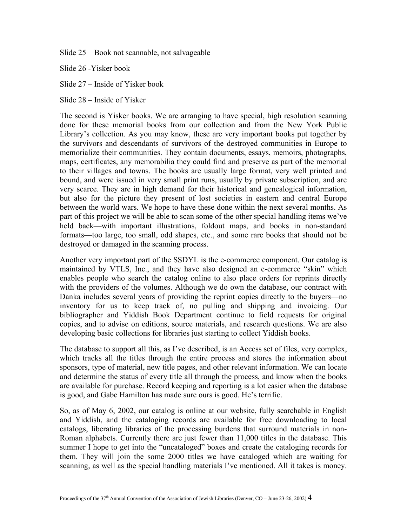Slide 25 – Book not scannable, not salvageable

Slide 26 -Yisker book

Slide 27 – Inside of Yisker book

Slide 28 – Inside of Yisker

The second is Yisker books. We are arranging to have special, high resolution scanning done for these memorial books from our collection and from the New York Public Library's collection. As you may know, these are very important books put together by the survivors and descendants of survivors of the destroyed communities in Europe to memorialize their communities. They contain documents, essays, memoirs, photographs, maps, certificates, any memorabilia they could find and preserve as part of the memorial to their villages and towns. The books are usually large format, very well printed and bound, and were issued in very small print runs, usually by private subscription, and are very scarce. They are in high demand for their historical and genealogical information, but also for the picture they present of lost societies in eastern and central Europe between the world wars. We hope to have these done within the next several months. As part of this project we will be able to scan some of the other special handling items we've held back—with important illustrations, foldout maps, and books in non-standard formats—too large, too small, odd shapes, etc., and some rare books that should not be destroyed or damaged in the scanning process.

Another very important part of the SSDYL is the e-commerce component. Our catalog is maintained by VTLS, Inc., and they have also designed an e-commerce "skin" which enables people who search the catalog online to also place orders for reprints directly with the providers of the volumes. Although we do own the database, our contract with Danka includes several years of providing the reprint copies directly to the buyers—no inventory for us to keep track of, no pulling and shipping and invoicing. Our bibliographer and Yiddish Book Department continue to field requests for original copies, and to advise on editions, source materials, and research questions. We are also developing basic collections for libraries just starting to collect Yiddish books.

The database to support all this, as I've described, is an Access set of files, very complex, which tracks all the titles through the entire process and stores the information about sponsors, type of material, new title pages, and other relevant information. We can locate and determine the status of every title all through the process, and know when the books are available for purchase. Record keeping and reporting is a lot easier when the database is good, and Gabe Hamilton has made sure ours is good. He's terrific.

So, as of May 6, 2002, our catalog is online at our website, fully searchable in English and Yiddish, and the cataloging records are available for free downloading to local catalogs, liberating libraries of the processing burdens that surround materials in non-Roman alphabets. Currently there are just fewer than 11,000 titles in the database. This summer I hope to get into the "uncataloged" boxes and create the cataloging records for them. They will join the some 2000 titles we have cataloged which are waiting for scanning, as well as the special handling materials I've mentioned. All it takes is money.